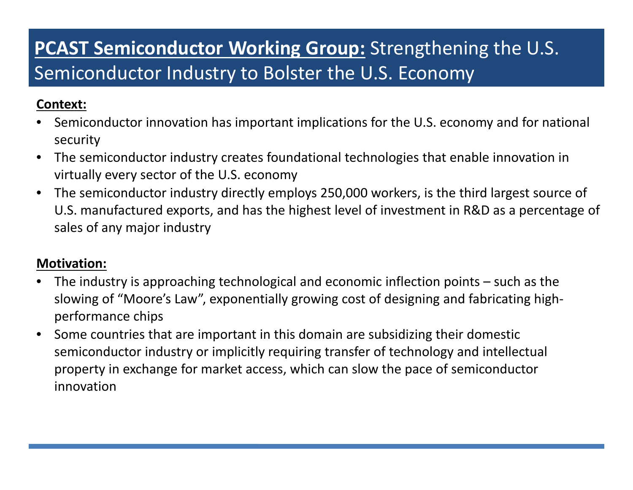# **PCAST Semiconductor Working Group:** Strengthening the U.S. Semiconductor Industry to Bolster the U.S. Economy

### **Context:**

- • Semiconductor innovation has important implications for the U.S. economy and for national security
- $\bullet$  The semiconductor industry creates foundational technologies that enable innovation in virtually every sector of the U.S. economy
- $\bullet$  The semiconductor industry directly employs 250,000 workers, is the third largest source of U.S. manufactured exports, and has the highest level of investment in R&D as <sup>a</sup> percentage of sales of any major industry

### **Motivation:**

- $\bullet$  The industry is approaching technological and economic inflection points – such as the slowing of "Moore's Law", exponentially growing cost of designing and fabricating high‐ performance chips
- $\bullet$  Some countries that are important in this domain are subsidizing their domestic semiconductor industry or implicitly requiring transfer of technology and intellectual property in exchange for market access, which can slow the pace of semiconductor innovation